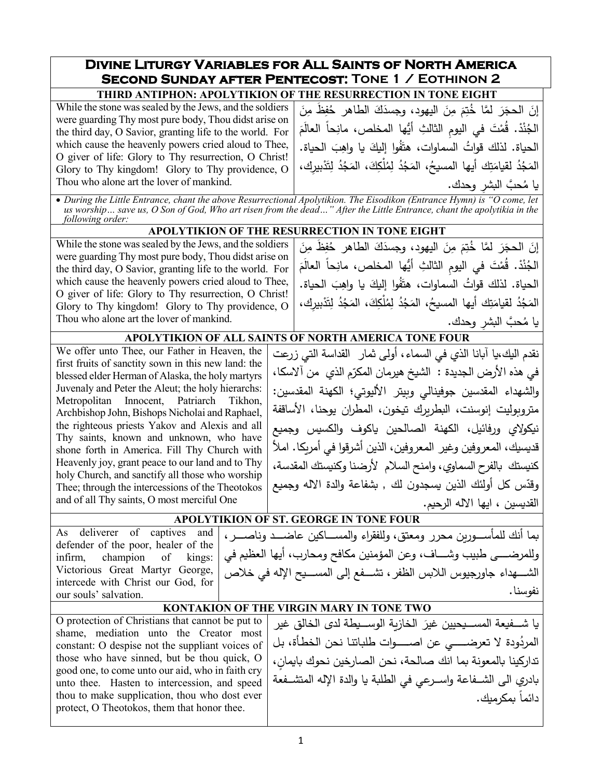## **Divine Liturgy Variables for All Saints of North America Second Sunday after Pentecost: Tone 1 / Eothinon 2 THIRD ANTIPHON: APOLYTIKION OF THE RESURRECTION IN TONE EIGHT**

While the stone was sealed by the Jews, and the soldiers were guarding Thy most pure body, Thou didst arise on the third day, O Savior, granting life to the world. For which cause the heavenly powers cried aloud to Thee, O giver of life: Glory to Thy resurrection, O Christ! Glory to Thy kingdom! Glory to Thy providence, O Thou who alone art the lover of mankind.

إِنَ الحجَرَ لمَّا خُتِمَ مِنَ اليهود، وجسدَكَ الطاهر حُفِظَ مِنَ<br>مدفقه مُ الْجُنْدْ. قُمْتَ في اليومِ الثالثِ أيُّها المخلص، مانِحاً العالَمَ<br>-الحياة. لذلك قواتُ السماوات، هتَفُوا إِليكَ يا واهِبَ الحياة.<br>. المَجُدُ لقيامَتِك أيها المسيحُ، المَجُدُ لِمُلْكِكَ، المَجُدُ لِتَدْبِيرِكِ، يا مُحبَّ البشرِ وحدك.<br>من منظمت

• *During the Little Entrance, chant the above Resurrectional Apolytikion. The Eisodikon (Entrance Hymn) is "O come, let*  us worship... save us, O Son of God, Who art risen from the dead..." After the Little Entrance, chant the apolytikia in the *following order:*

### **APOLYTIKION OF THE RESURRECTION IN TONE EIGHT**

While the stone was sealed by the Jews, and the soldiers were guarding Thy most pure body, Thou didst arise on the third day, O Savior, granting life to the world. For which cause the heavenly powers cried aloud to Thee, O giver of life: Glory to Thy resurrection, O Christ! Glory to Thy kingdom! Glory to Thy providence, O Thou who alone art the lover of mankind.

إِنَ الحجَرَ لمَّا خُتِمَ مِنَ اليهود، وجسدَكَ الطاهر حُفِظَ مِنَ<br>مددد في الجُنْدْ. قُمْتَ في اليومِ الثالثِ أيُّها المخلص، مانِحاً العالَمَ<br>. الحياة. لذلك قواتُ السماوات، هتَفُوا إِليكَ يا واهِبَ الحياة.<br>· المَجُدُ لقيامَتِك أيها المسيحُ، المَجُدُ لِمُلْكِكَ، المَجُدُ لِتَدْبِيرِكَ، يا مُحبَّ البشرِ وحدك.<br>حديد

### **APOLYTIKION OF ALL SAINTS OF NORTH AMERICA TONE FOUR**

We offer unto Thee, our Father in Heaven, the first fruits of sanctity sown in this new land: the blessed elder Herman of Alaska, the holy martyrs Juvenaly and Peter the Aleut; the holy hierarchs: Metropolitan Innocent, Patriarch Tikhon, Archbishop John, Bishops Nicholai and Raphael, the righteous priests Yakov and Alexis and all Thy saints, known and unknown, who have shone forth in America. Fill Thy Church with Heavenly joy, grant peace to our land and to Thy holy Church, and sanctify all those who worship Thee; through the intercessions of the Theotokos and of all Thy saints, O most merciful One

نقدم ال�ك،�ا آ�انا الذي في السماء، أولى ثمار القداسة التي زرعت في هذه الأرض الجديدة : الشيخ هيرمان المكرّم الذي من ألاسكا، والشهداء المقدسین جوفینالي و�یتر الألیوتي؛ الكهنة المقدسین: متروبولیت إنوسنت، البطربرك تيخون، المطران یوحنا، الأساقفة نيكولاي ورفائيل، الكهنة الصالحین ياكوف والكسيس وجميع قد�س�ك، المعروفین وغیر المعروفین، الذین أشرقوا في أمر�كا. املأ كن�ستك �الفرح السماوي، وامنح السلام لأرضنا و�ن�ستك المقدسة، وقدّس كل أولئك الذين يسجدون لك , بشفاعة والدة الاله وجميع القديسين ، ايها الاله الرحيم.

# **APOLYTIKION OF ST. GEORGE IN TONE FOUR**

As deliverer of captives and defender of the poor, healer of the infirm, champion of kings: Victorious Great Martyr George, intercede with Christ our God, for our souls' salvation.

بما أنك للمأســــورين محرر ومعتق، وللفقراء والمســــاكین عاضــــد وناصــــر ، وللمرضــــى طبيب وشــــاف، وعن المؤمنين مكافح ومحارب، أيها العظيم في الشــــهداء جاورجيوس اللابس الظفر ، تشـــفع إلى المســـيح الإله في خلاص نفوسنا**.**

## **KONTAKION OF THE VIRGIN MARY IN TONE TWO**

O protection of Christians that cannot be put to shame, mediation unto the Creator most constant: O despise not the suppliant voices of those who have sinned, but be thou quick, O good one, to come unto our aid, who in faith cry unto thee. Hasten to intercession, and speed thou to make supplication, thou who dost ever protect, O Theotokos, them that honor thee.

يا شـــفيعة المســـيحيين غيرَ الخازية الوســـيطة لدى الخالقِ غير<br>. المردُودة لا تعرضـــــي عن اصــــــوات طلباتنـا نحن الخطـأة، بـل تداركينا بالمعونة بما انك صالحة، نحن الصارخين نحوك بايمان، بادري الى الشــفاعة واســرعي في الطلبة يا والدة الإله المتشــفعة دائماً يمكرمك.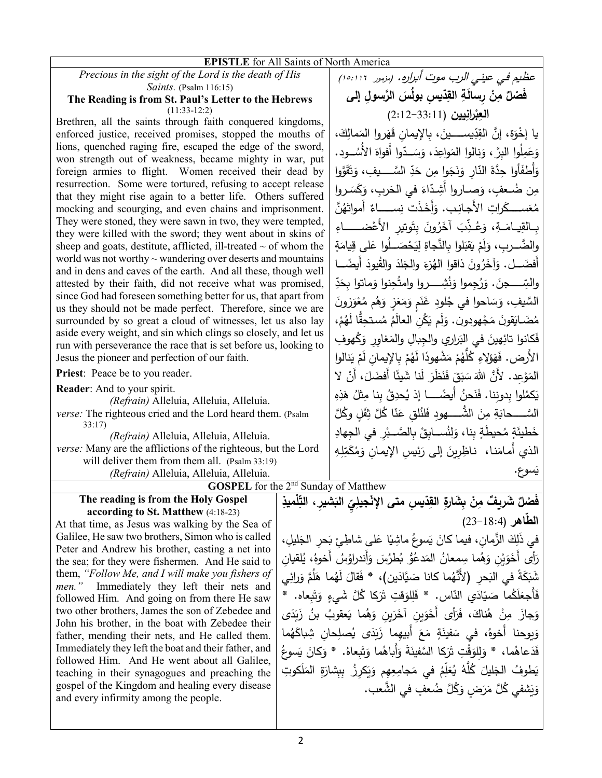| <b>EPISTLE</b> for All Saints of North America                                                                                            |  |                                                                                      |
|-------------------------------------------------------------------------------------------------------------------------------------------|--|--------------------------------------------------------------------------------------|
| Precious in the sight of the Lord is the death of His                                                                                     |  | عظیم فی عینی الرب موت أبراره. (مزمور ١٥:١١٦)                                         |
| Saints. (Psalm 116:15)                                                                                                                    |  | فَصْلٌ مِنْ رسالَةِ القِدّيسِ بولُسَ الرَّسولِ إلى                                   |
| The Reading is from St. Paul's Letter to the Hebrews<br>$(11:33-12:2)$                                                                    |  | العِبْرانِيين (33:11-2:12)                                                           |
| Brethren, all the saints through faith conquered kingdoms,                                                                                |  |                                                                                      |
| enforced justice, received promises, stopped the mouths of                                                                                |  | يا إِخْوَة، إِنَّ القِدِّيســــينَ، بِالإِيمانِ قَهَروا المَمالِكَ،                  |
| lions, quenched raging fire, escaped the edge of the sword,                                                                               |  | وَعَمِلُوا البرَّ ، وَنالوا المَواعِدَ، وَسَــدّوا أفواهَ الأَسُـــود.               |
| won strength out of weakness, became mighty in war, put                                                                                   |  |                                                                                      |
| foreign armies to flight. Women received their dead by                                                                                    |  | وَأَطفَأُوا حِدَّةَ النّارِ وَنَجَوا مِن حَدِّ السَّـــــيفِ، وَتَقَوَّوا            |
| resurrection. Some were tortured, refusing to accept release                                                                              |  | مِن ضُعفٍ، وَصــاروا أَشِدّاءَ فـى الحَربِ، وَكَسَـروا                               |
| that they might rise again to a better life. Others suffered<br>mocking and scourging, and even chains and imprisonment.                  |  | مُعَســــــكَراتِ الأجـانِـب. وَأَخَذَت نِســــــاءٌ أَمواتَهُنَّ                    |
| They were stoned, they were sawn in two, they were tempted,                                                                               |  | بِـالقِيـامَـةِ، وَعُـذِّبَ آخَرُونَ بِتَوتِيرِ الأَعْضــــــاءِ                     |
| they were killed with the sword; they went about in skins of                                                                              |  | والضَّــرب، وَلَمْ يَقبَلوا بالنَّجاةِ لِيَحْصَــلُوا عَلى قِيامَةٍ                  |
| sheep and goats, destitute, afflicted, ill-treated $\sim$ of whom the<br>world was not worthy $\sim$ wandering over deserts and mountains |  |                                                                                      |
| and in dens and caves of the earth. And all these, though well                                                                            |  | أَفضَـــل. وَآخَرُونَ ذاقوا الهُزءَ والجَلاَ والقُيودَ أَيضَـــا                     |
| attested by their faith, did not receive what was promised,<br>since God had foreseen something better for us, that apart from            |  | والسِّـــــــــجنَ. وَرُجِموا وَنُشِــــــــروا وامتُحِنوا وَماتوا بِحَدِّ           |
| us they should not be made perfect. Therefore, since we are                                                                               |  | السَّيفِ، وَسَاحوا في جُلودِ غَنَم وَمَعَزِ وَهُم مُعْوَزونَ                         |
| surrounded by so great a cloud of witnesses, let us also lay                                                                              |  | مُضَـايَقونَ مَجْهودون. وَلَم يَكُن العالَمُ مُستحِقًّا لَهُمْ،                      |
| aside every weight, and sin which clings so closely, and let us<br>run with perseverance the race that is set before us, looking to       |  | فَكانوا تائِهينَ في البَراري والجِبالِ والمَغاوِر وَكُهوفِ                           |
| Jesus the pioneer and perfection of our faith.                                                                                            |  | الأرض. فَهَؤَلاءِ كُلُّهُمْ مَشْهودًا لَهُمْ بِالإِيمانِ لَمْ يَنالُوا               |
| Priest: Peace be to you reader.                                                                                                           |  | المَوْعِدِ. لأَنَّ اللهَ سَبَقَ فَنَظَرَ لَنا شَيئًا أَفضَلَ، أَنْ لا                |
| Reader: And to your spirit.                                                                                                               |  | يَكمُلوا بدوننا. فَنَحنُ أَيضَـــــا إذ يُحدِقُ بنا مِثلُ هَذِهِ                     |
| (Refrain) Alleluia, Alleluia, Alleluia.<br>verse: The righteous cried and the Lord heard them. (Psalm                                     |  | السَّـــــحابَةِ مِنَ الشُّــــــهودِ فَلنُلق عَنّا كُلَّ ثِقَلٍ وكُلَّ              |
| 33:17                                                                                                                                     |  |                                                                                      |
| (Refrain) Alleluia, Alleluia, Alleluia.                                                                                                   |  | خَطْيئَةٍ مُحيطَةٍ بِنا، وَلِنُســابِقْ بِالصَّــبْرِ في الجِهادِ                    |
| verse: Many are the afflictions of the righteous, but the Lord                                                                            |  | الذي أمامَنا،  ناظِرِينَ إلى رَئِيسِ الإِيمانِ وَمُكَمِّلِهِ                         |
| will deliver them from them all. (Psalm 33:19)                                                                                            |  | يَسوع.                                                                               |
| (Refrain) Alleluia, Alleluia, Alleluia.                                                                                                   |  |                                                                                      |
| <b>GOSPEL</b> for the 2 <sup>nd</sup> Sunday of Matthew                                                                                   |  |                                                                                      |
| The reading is from the Holy Gospel<br>according to St. Matthew (4:18-23)                                                                 |  | فَصْلٌ شَريفٌ مِنْ بِشَارةِ القِدّيسِ متى الإِنْجِيلِيّ البَشيرِ ، التِّلْميذِ       |
| At that time, as Jesus was walking by the Sea of                                                                                          |  | الطّاهر (18:4-23)                                                                    |
| Galilee, He saw two brothers, Simon who is called                                                                                         |  |                                                                                      |
| Peter and Andrew his brother, casting a net into                                                                                          |  | في ذَلِكَ الزَّمانِ، فيما كانَ يَسوعُ ماشِيًا عَلى شاطِئٍ بَحرِ الجَليلِ،            |
| the sea; for they were fishermen. And He said to                                                                                          |  | رَأَى أَخَوَيْنِ وَهُما سِمعانُ المَدعُوُّ بُطرُسَ وَأندراوُسُ أَخوهُ، يُلقيان       |
| them, "Follow Me, and I will make you fishers of                                                                                          |  | شَبَكَةً في النَحر ۖ (لأَنَّهُما كانا صَيَّادَين)، * فَقالَ لَهُما هَلُمَّ وَرائِي   |
| men." Immediately they left their nets and                                                                                                |  |                                                                                      |
| followed Him. And going on from there He saw                                                                                              |  | فَأَجعَلَكُما صَيّادَيِ النّاسِ. * فَلِلوَقتِ تَرَكا كُلَّ شَيءٍ وَتَبعاه.           |
| two other brothers, James the son of Zebedee and                                                                                          |  | وَجازَ مِنْ هُناكَ، فَرَأَى أَخَوَينِ آخَرَينِ وَهُما يَعقوبُ بنُ زَبَدَى            |
| John his brother, in the boat with Zebedee their                                                                                          |  | وَبِوحنا أُخوهُ، في سَفينَةٍ مَعَ أبيهما زَبَدَى يُصلِحان شِباكَهُما                 |
| father, mending their nets, and He called them.<br>Immediately they left the boat and their father, and                                   |  |                                                                                      |
| followed Him. And He went about all Galilee,                                                                                              |  | فَدَعاهُما، * وَلِلوَقْتِ تَرَكا السَّفينَةَ وَأَباهُما وَتَبِعاهُ. * وَكَانَ يَسوعُ |
| teaching in their synagogues and preaching the                                                                                            |  | يَطْوفُ الْجَليلَ كُلَّهُ يُعَلِّمُ في مَجامِعِهِم وَيَكرِزُ بِبِشَارَةِ المَلَكوتِ  |
| gospel of the Kingdom and healing every disease<br>and every infirmity among the people.                                                  |  | وَيَشْفَى كُلَّ مَرَضٍ وَكُلَّ ضُعفٍ في الشَّعبِ.                                    |